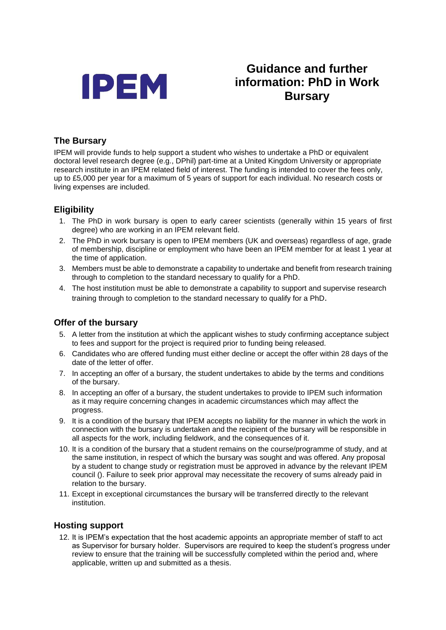

# **Guidance and further information: PhD in Work Bursary**

### **The Bursary**

IPEM will provide funds to help support a student who wishes to undertake a PhD or equivalent doctoral level research degree (e.g., DPhil) part-time at a United Kingdom University or appropriate research institute in an IPEM related field of interest. The funding is intended to cover the fees only, up to £5,000 per year for a maximum of 5 years of support for each individual. No research costs or living expenses are included.

## **Eligibility**

- 1. The PhD in work bursary is open to early career scientists (generally within 15 years of first degree) who are working in an IPEM relevant field.
- 2. The PhD in work bursary is open to IPEM members (UK and overseas) regardless of age, grade of membership, discipline or employment who have been an IPEM member for at least 1 year at the time of application.
- 3. Members must be able to demonstrate a capability to undertake and benefit from research training through to completion to the standard necessary to qualify for a PhD.
- 4. The host institution must be able to demonstrate a capability to support and supervise research training through to completion to the standard necessary to qualify for a PhD.

#### **Offer of the bursary**

- 5. A letter from the institution at which the applicant wishes to study confirming acceptance subject to fees and support for the project is required prior to funding being released.
- 6. Candidates who are offered funding must either decline or accept the offer within 28 days of the date of the letter of offer.
- 7. In accepting an offer of a bursary, the student undertakes to abide by the terms and conditions of the bursary.
- 8. In accepting an offer of a bursary, the student undertakes to provide to IPEM such information as it may require concerning changes in academic circumstances which may affect the progress.
- 9. It is a condition of the bursary that IPEM accepts no liability for the manner in which the work in connection with the bursary is undertaken and the recipient of the bursary will be responsible in all aspects for the work, including fieldwork, and the consequences of it.
- 10. It is a condition of the bursary that a student remains on the course/programme of study, and at the same institution, in respect of which the bursary was sought and was offered. Any proposal by a student to change study or registration must be approved in advance by the relevant IPEM council (). Failure to seek prior approval may necessitate the recovery of sums already paid in relation to the bursary.
- 11. Except in exceptional circumstances the bursary will be transferred directly to the relevant institution.

#### **Hosting support**

12. It is IPEM's expectation that the host academic appoints an appropriate member of staff to act as Supervisor for bursary holder. Supervisors are required to keep the student's progress under review to ensure that the training will be successfully completed within the period and, where applicable, written up and submitted as a thesis.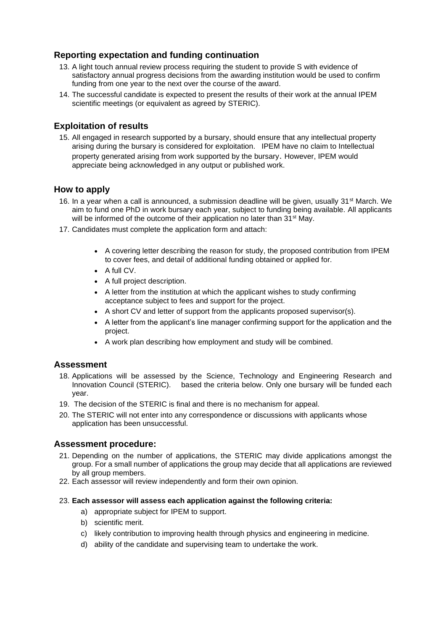### **Reporting expectation and funding continuation**

- 13. A light touch annual review process requiring the student to provide S with evidence of satisfactory annual progress decisions from the awarding institution would be used to confirm funding from one year to the next over the course of the award.
- 14. The successful candidate is expected to present the results of their work at the annual IPEM scientific meetings (or equivalent as agreed by STERIC).

#### **Exploitation of results**

15. All engaged in research supported by a bursary, should ensure that any intellectual property arising during the bursary is considered for exploitation. IPEM have no claim to Intellectual property generated arising from work supported by the bursary. However, IPEM would appreciate being acknowledged in any output or published work.

#### **How to apply**

- 16. In a year when a call is announced, a submission deadline will be given, usually 31<sup>st</sup> March. We aim to fund one PhD in work bursary each year, subject to funding being available. All applicants will be informed of the outcome of their application no later than 31<sup>st</sup> May.
- 17. Candidates must complete the application form and attach:
	- A covering letter describing the reason for study, the proposed contribution from IPEM to cover fees, and detail of additional funding obtained or applied for.
	- A full CV.
	- A full project description.
	- A letter from the institution at which the applicant wishes to study confirming acceptance subject to fees and support for the project.
	- A short CV and letter of support from the applicants proposed supervisor(s).
	- A letter from the applicant's line manager confirming support for the application and the project.
	- A work plan describing how employment and study will be combined.

#### **Assessment**

- 18. Applications will be assessed by the Science, Technology and Engineering Research and Innovation Council (STERIC). based the criteria below. Only one bursary will be funded each year.
- 19. The decision of the STERIC is final and there is no mechanism for appeal.
- 20. The STERIC will not enter into any correspondence or discussions with applicants whose application has been unsuccessful.

#### **Assessment procedure:**

- 21. Depending on the number of applications, the STERIC may divide applications amongst the group. For a small number of applications the group may decide that all applications are reviewed by all group members.
- 22. Each assessor will review independently and form their own opinion.

#### 23. **Each assessor will assess each application against the following criteria:**

- a) appropriate subject for IPEM to support.
- b) scientific merit.
- c) likely contribution to improving health through physics and engineering in medicine.
- d) ability of the candidate and supervising team to undertake the work.